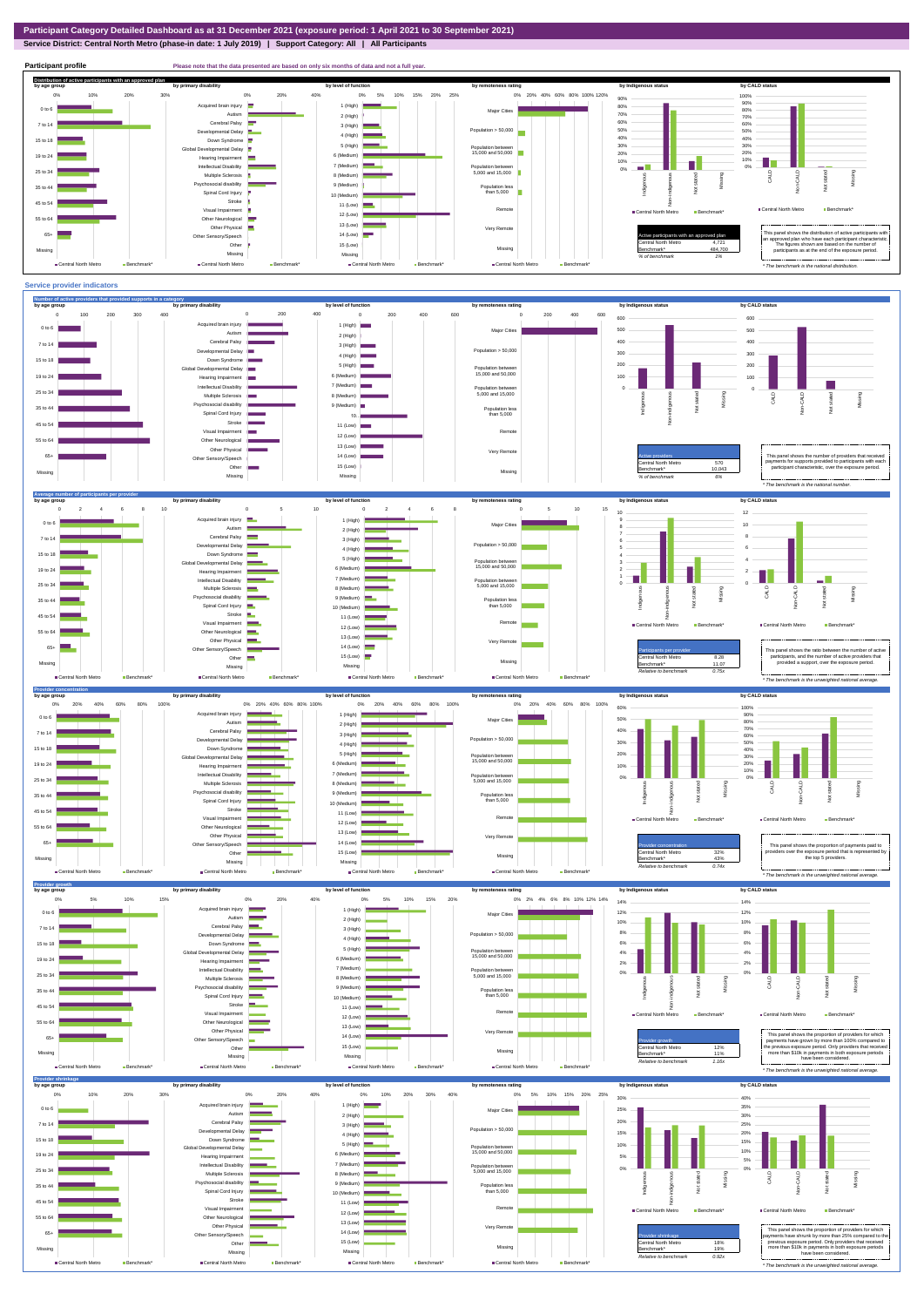**Service District: Central North Metro (phase-in date: 1 July 2019) | Support Category: All | All Participants**



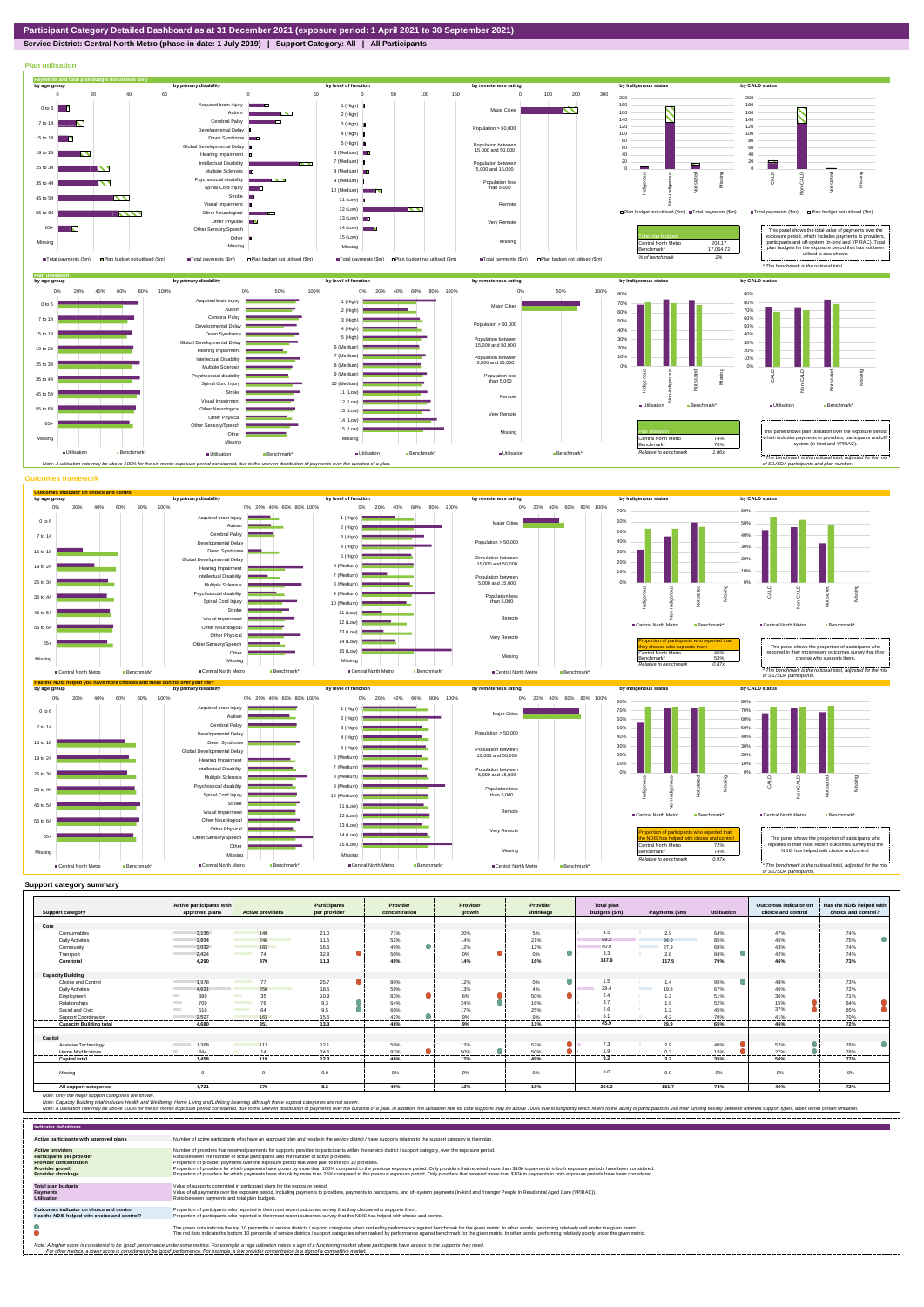## **Service District: Central North Metro (phase-in date: 1 July 2019) | Support Category: All | All Participants**



| <b>Support category</b>        | Active participants with<br>approved plans | <b>Active providers</b> | <b>Participants</b><br>per provider | Provider<br>concentration | Provider<br>arowth      | Provider<br>shrinkage | <b>Total plan</b><br>budgets (\$m) | Payments (\$m)                   | <b>Utilisation</b> | Outcomes indicator on<br>choice and control | Has the NDIS helped with<br>choice and control? |
|--------------------------------|--------------------------------------------|-------------------------|-------------------------------------|---------------------------|-------------------------|-----------------------|------------------------------------|----------------------------------|--------------------|---------------------------------------------|-------------------------------------------------|
|                                |                                            |                         |                                     |                           |                         |                       |                                    |                                  |                    |                                             |                                                 |
| Core                           |                                            |                         |                                     |                           |                         |                       |                                    |                                  |                    |                                             |                                                 |
| Consumables                    | 3.136                                      | 149                     | 21.0                                | 71%                       | 20%                     | 5%                    | 4.5                                | 2.9                              | 64%                | 47%                                         | 74%                                             |
| <b>Daily Activities</b>        | 2.834                                      | 246                     | 11.5                                | 52%                       | 14%                     | 21%                   | 99.2                               | 84.0                             | 85%                | 45%                                         | 75%                                             |
| Community                      | 3.032                                      | 183                     | 16.6                                | 49%                       | 12%                     | 12%                   | 40.9                               | 27.9                             | 68%                | 43%                                         | 74%                                             |
| Transport                      | 2.424<br>.                                 | 74<br>                  | 32.8                                | 50%                       | 0%                      | ●<br>0 <sup>9</sup>   | 3.3                                | 2.8                              | 84%                | 42%                                         | 74%                                             |
| Core total                     | 4.290                                      | 379                     | -------<br>11.3                     | --------<br>49%           | .<br>14%                | .<br>16%              | .<br>147.9                         | .<br>117.5                       | <br>79%            | <b>Holland</b><br>46%                       | .<br>73%                                        |
|                                |                                            |                         |                                     |                           |                         |                       |                                    |                                  |                    |                                             |                                                 |
| <b>Capacity Building</b>       |                                            |                         |                                     |                           |                         |                       |                                    |                                  |                    |                                             |                                                 |
| <b>Choice and Control</b>      | 1.978                                      | 77                      | 25.7                                | 80%                       | 12%                     | 0%                    | 1.5                                | 1.4                              | 95%                | 48%                                         | 73%                                             |
| <b>Daily Activities</b>        | 4.621                                      | 250                     | 18.5                                | 59%                       | 13%                     | 4%                    | 29.4                               | <b>Contract Contract</b><br>19.8 | 67%                | 46%                                         | 72%                                             |
| Employment                     | 380                                        | 35                      | 10.9                                | 83%                       | ●<br>6%                 | ●<br>50%              | 2.4                                | 1.2                              | 51%                | 36%                                         | 71%                                             |
| Relationships                  | 709                                        | 76                      | 9.3                                 | 64%                       | o<br>24%                | 16%                   | 3.7                                | 1.9                              | 52%                | 15%                                         | 64%                                             |
| Social and Civic               | 610<br><b>Contract</b>                     | 64<br><b>Contract</b>   | 9.5                                 | 60%                       | 17%                     | 25%                   | 2.6                                | 1.2                              | 45%                | 37%                                         | 65%                                             |
| Support Coordination           | 2.527                                      | 163<br>------           | 15.5<br>--------                    | 42%<br>                   | 9%<br><b>CONTRACTOR</b> | 9%<br>.               | 6.1<br>.                           | 4.2<br>--------                  | 70%<br>            | 41%<br>.                                    | 70%<br>.                                        |
| <b>Capacity Building total</b> | 4.680                                      | 351                     | 13.3                                | 48%                       | 9%                      | 11%                   | 45.9                               | 29.9                             | 65%                | 46%                                         | 72%                                             |
| Capital                        |                                            |                         |                                     |                           |                         |                       |                                    |                                  |                    |                                             |                                                 |
| Assistive Technology           | 1,368<br><b>Contract Contract</b>          | 113                     | 12.1                                | 50%                       | 12%                     | 52%                   | 7.3                                | 2.9                              | 40%                | 52%                                         | 78%                                             |
| Home Modifications             | 344                                        | 14                      | 24.6                                | 97%                       | 50%                     | 50%                   | 1.9                                | 0.3                              | 15%                | 27%                                         | 78%                                             |
| <b>Capital total</b>           | -------<br>1,458                           | <br>119                 | .<br>12.3                           | --------<br>46%           | .<br>17%                | <br>49%               | .<br>9.2                           | <br>3.2                          | .<br>35%           | .<br>50%                                    | -------<br>77%                                  |
| Missing                        | $\Omega$                                   | $\Omega$                | 0.0                                 | 0%                        | 0%                      | 0%                    | 0.0                                | 0.0                              | $0\%$              | 0%                                          | 0%                                              |
| All support categories         | 4.721                                      | 570                     | 8.3                                 | 46%                       | 12%                     | 18%                   | 204.2                              | 151.7                            | 74%                | 46%                                         | 72%                                             |

| <b>Indicator definitions</b>                                                                                                                        |                                                                                                                                                                                                                                                                                                                                                                                                                                                                                                                                                                                                                                                                                                                                                                                                                 |
|-----------------------------------------------------------------------------------------------------------------------------------------------------|-----------------------------------------------------------------------------------------------------------------------------------------------------------------------------------------------------------------------------------------------------------------------------------------------------------------------------------------------------------------------------------------------------------------------------------------------------------------------------------------------------------------------------------------------------------------------------------------------------------------------------------------------------------------------------------------------------------------------------------------------------------------------------------------------------------------|
| Active participants with approved plans                                                                                                             | Number of active participants who have an approved plan and reside in the service district / have supports relating to the support category in their plan.                                                                                                                                                                                                                                                                                                                                                                                                                                                                                                                                                                                                                                                      |
| <b>Active providers</b><br><b>Participants per provider</b><br><b>Provider concentration</b><br><b>Provider growth</b><br><b>Provider shrinkage</b> | Number of providers that received payments for supports provided to participants within the service district / support category, over the exposure period,<br>Ratio between the number of active participants and the number of active providers.<br>Proportion of provider payments over the exposure period that were paid to the top 10 providers.<br>Proportion of providers for which payments have grown by more than 100% compared to the previous exposure period. Only providers that received more than \$10k in payments in both exposure periods have been considered.<br>Proportion of providers for which payments have shrunk by more than 25% compared to the previous exposure period. Only providers that received more than \$10k in payments in both exposure periods have been considered. |
| <b>Total plan budgets</b><br><b>Payments</b><br><b>Utilisation</b>                                                                                  | Value of supports committed in participant plans for the exposure period.<br>Value of all payments over the exposure period, including payments to providers, payments to participants, and off-system payments (in-kind and Younger People In Residential Aged Care (YPIRAC)).<br>Ratio between payments and total plan budgets.                                                                                                                                                                                                                                                                                                                                                                                                                                                                               |
| Outcomes indicator on choice and control<br>Has the NDIS helped with choice and control?                                                            | Proportion of participants who reported in their most recent outcomes survey that they choose who supports them.<br>Proportion of participants who reported in their most recent outcomes survey that the NDIS has helped with choice and control.                                                                                                                                                                                                                                                                                                                                                                                                                                                                                                                                                              |
|                                                                                                                                                     | The green dots indicate the top 10 percentile of service districts / support categories when ranked by performance against benchmark for the given metric. In other words, performing relatively well under the given metric.<br>The red dots indicate the bottom 10 percentile of service districts / support categories when ranked by performance against benchmark for the given metric. In other words, performing relatively poorly under the given metri                                                                                                                                                                                                                                                                                                                                                 |
|                                                                                                                                                     | Note: A higher score is considered to be 'good' performance under some metrics. For example, a high utilisation rate is a sign of a functioning market where participants have access to the supports they need.<br>For other metrics, a lower score is considered to be 'good' performance. For example, a low provider concentration is a sign of a competitive market.                                                                                                                                                                                                                                                                                                                                                                                                                                       |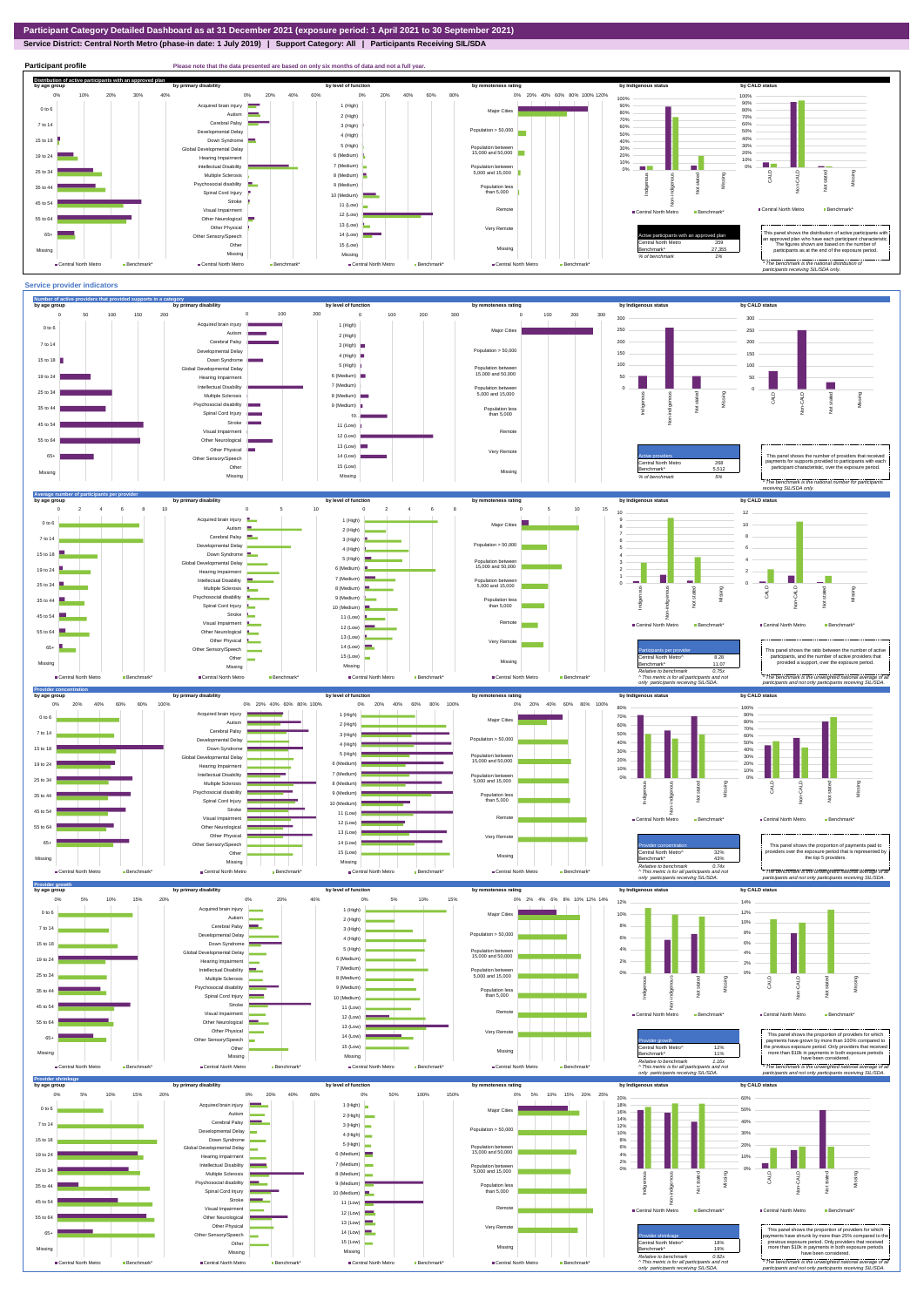**Service District: Central North Metro (phase-in date: 1 July 2019) | Support Category: All | Participants Receiving SIL/SDA**



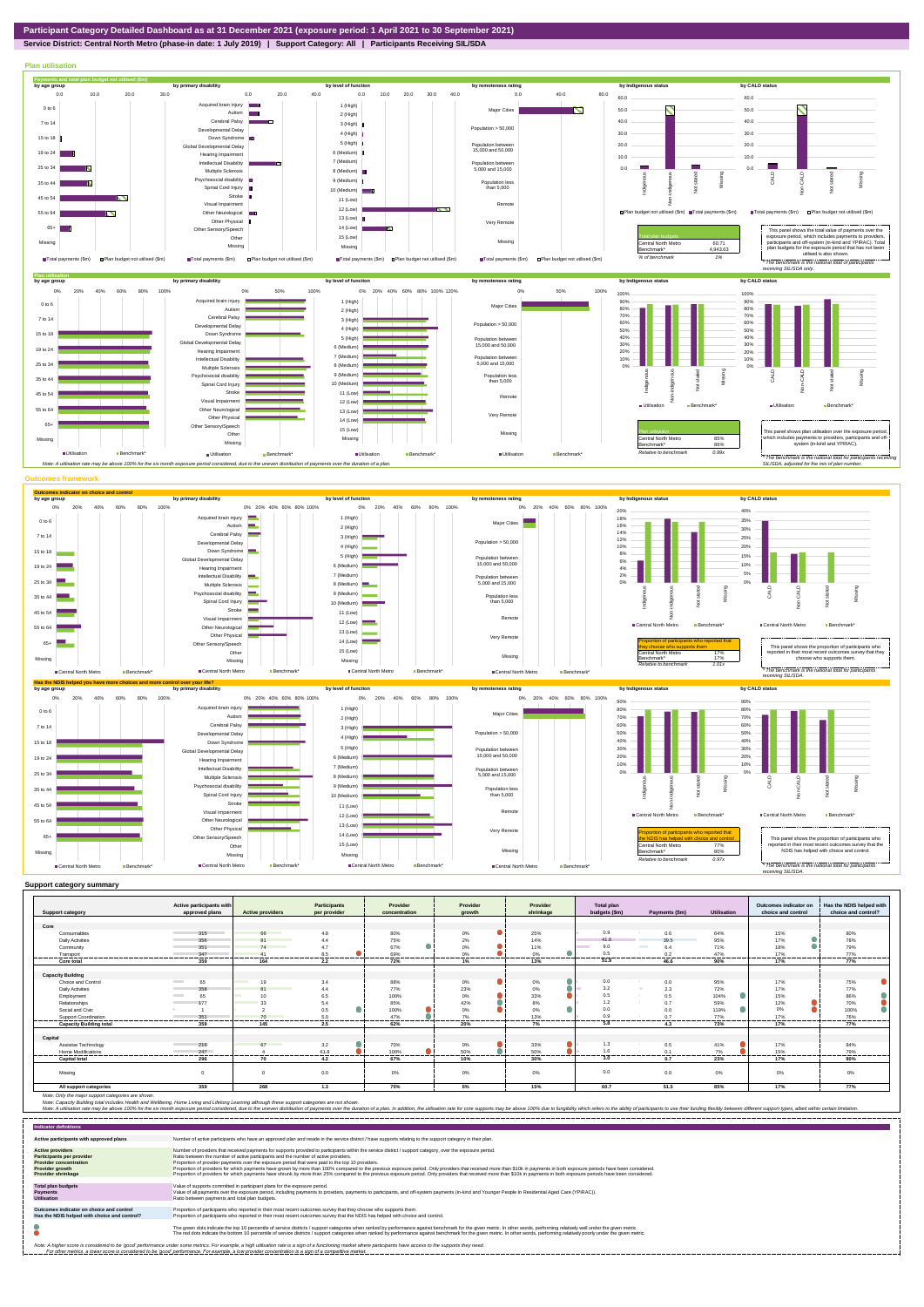

**Service District: Central North Metro (phase-in date: 1 July 2019) | Support Category: All | Participants Receiving SIL/SDA**



| <b>Support category</b>                        | Active participants with<br>approved plans | <b>Active providers</b>                                                                                              | <b>Participants</b><br>per provider | Provider<br>concentration | Provider<br>arowth | Provider<br>shrinkage | <b>Total plan</b><br>budgets (\$m) | Payments (\$m)            | Utilisation    | Outcomes indicator on<br>choice and control | Has the NDIS helped with<br>choice and control? |
|------------------------------------------------|--------------------------------------------|----------------------------------------------------------------------------------------------------------------------|-------------------------------------|---------------------------|--------------------|-----------------------|------------------------------------|---------------------------|----------------|---------------------------------------------|-------------------------------------------------|
|                                                |                                            |                                                                                                                      |                                     |                           |                    |                       |                                    |                           |                |                                             |                                                 |
| Core                                           |                                            |                                                                                                                      |                                     |                           |                    |                       |                                    |                           |                |                                             |                                                 |
| Consumables                                    | 315                                        | 66                                                                                                                   | 4.8                                 | 80%                       | 0%                 | 25%                   | 0.9                                | 0.6                       | 64%            | 15%                                         | 80%                                             |
| <b>Daily Activities</b>                        | 356                                        | R <sub>1</sub>                                                                                                       | 4.4                                 | 75%                       | 2%                 | 14%                   | 41.6                               | 39.5                      | 95%            | 17%                                         | 78%                                             |
| Community                                      | 351                                        | 74<br>and the state of the state of the state of the state of the state of the state of the state of the state of th | 4.7                                 | 67%                       | $0\%$              | 11%                   | 9.0                                | <b>The College</b><br>6.4 | 71%            | 18%                                         | 79%                                             |
| Transport                                      | 347                                        |                                                                                                                      | 8.5                                 | 69%                       | 0%                 | 0%                    | 0.5                                | 0.2                       | 47%            | 17%                                         | 77%                                             |
| Core total                                     | 359                                        | 164                                                                                                                  | 2.2                                 | 72%                       | 1%                 | 13%                   | 51.9                               | 46.6                      | 90%            | 17%                                         | 77%                                             |
|                                                |                                            |                                                                                                                      |                                     |                           |                    |                       |                                    |                           |                |                                             |                                                 |
| <b>Capacity Building</b><br>Choice and Control | <b>Contract</b>                            | <b>Contract</b><br>19                                                                                                | 3.4                                 | 88%                       |                    |                       | 0.0                                |                           |                |                                             | 75%                                             |
|                                                | 65                                         | R <sub>1</sub>                                                                                                       |                                     |                           | 0%                 | 0%                    | 3.2                                | 0.0<br>m                  | 95%            | 17%                                         |                                                 |
| <b>Daily Activities</b>                        | 358<br><b>Contract Contract</b>            | 10                                                                                                                   | 4.4                                 | 77%                       | 23%                | 0%<br>33%             | 0.5                                | 2.3<br>0.5<br>- 60        | 72%<br>104%    | 17%                                         | 77%                                             |
| Employment                                     | 65                                         | 33                                                                                                                   | 6.5                                 | 100%                      | $0\%$              |                       | 1.2                                |                           |                | 15%                                         | 86%                                             |
| Relationships                                  | 177                                        |                                                                                                                      | 5.4                                 | 85%                       | 42%                | 8%                    | 0.0                                | 0.7                       | 59%            | 12%<br>0%                                   | 70%                                             |
| Social and Civic                               |                                            |                                                                                                                      | 0.5                                 | 100%                      | 0%                 | 0%                    |                                    | 0.0                       | 119%           |                                             | 100%                                            |
| Support Coordination                           | 351                                        | 70                                                                                                                   | 5.0<br>.                            | 47%<br>.                  | 7%<br>.            | 13%<br>.              | 0.9<br>5.8                         | 0.7                       | 77%<br>------- | 17%<br>-------                              | 76%<br>.                                        |
| <b>Capacity Building total</b>                 | 359                                        | 145                                                                                                                  | 2.5                                 | 62%                       | 20%                | 7%                    |                                    | 4.3                       | 73%            | 17%                                         | 77%                                             |
| Capital                                        |                                            |                                                                                                                      |                                     |                           |                    |                       |                                    |                           |                |                                             |                                                 |
| Assistive Technology                           | 216                                        | 67                                                                                                                   | 3.2                                 | 70%                       | 0%                 | 33%                   | 1.3                                | 0.5                       | 41%            | 17%                                         | 84%                                             |
| Home Modifications                             | 247                                        |                                                                                                                      | 61.8                                | 100%                      | 50%                | 50%                   | 1.6                                | 0.1                       | 7%             | 15%                                         | 79%                                             |
| <b>Capital total</b>                           | 296                                        | .<br>70                                                                                                              | -------<br>4.2                      | .<br>67%                  | -------<br>10%     | .<br>30%              | <br>3.0                            | <br>0.7                   | ------<br>23%  | ------<br>17%                               | .<br>80%                                        |
| Missing                                        |                                            | $\Omega$                                                                                                             | 0.0                                 | 0%                        | 0%                 | 0%                    | 0.0                                | 0.0                       | $0\%$          | 0%                                          | 0%                                              |
| All support categories                         | 359                                        | 268                                                                                                                  | 1.3                                 | 70%                       | 6%                 | 15%                   | 60.7                               | 51.5                      | 85%            | 17%                                         | 77%                                             |

| <b>Indicator definitions</b>                                                                                                                 |                                                                                                                                                                                                                                                                                                                                                                                                                                                                                                                                                                                                                                                                                                                                                                                                                 |
|----------------------------------------------------------------------------------------------------------------------------------------------|-----------------------------------------------------------------------------------------------------------------------------------------------------------------------------------------------------------------------------------------------------------------------------------------------------------------------------------------------------------------------------------------------------------------------------------------------------------------------------------------------------------------------------------------------------------------------------------------------------------------------------------------------------------------------------------------------------------------------------------------------------------------------------------------------------------------|
| Active participants with approved plans                                                                                                      | Number of active participants who have an approved plan and reside in the service district / have supports relating to the support category in their plan.                                                                                                                                                                                                                                                                                                                                                                                                                                                                                                                                                                                                                                                      |
| <b>Active providers</b><br><b>Participants per provider</b><br><b>Provider concentration</b><br>Provider growth<br><b>Provider shrinkage</b> | Number of providers that received payments for supports provided to participants within the service district / support category, over the exposure period,<br>Ratio between the number of active participants and the number of active providers.<br>Proportion of provider payments over the exposure period that were paid to the top 10 providers.<br>Proportion of providers for which payments have grown by more than 100% compared to the previous exposure period. Only providers that received more than \$10k in payments in both exposure periods have been considered.<br>Proportion of providers for which payments have shrunk by more than 25% compared to the previous exposure period. Only providers that received more than \$10k in payments in both exposure periods have been considered. |
| <b>Total plan budgets</b><br><b>Payments</b><br><b>Utilisation</b>                                                                           | Value of supports committed in participant plans for the exposure period.<br>Value of all payments over the exposure period, including payments to providers, payments to participants, and off-system payments (in-kind and Younger People In Residential Aged Care (YPIRAC)).<br>Ratio between payments and total plan budgets.                                                                                                                                                                                                                                                                                                                                                                                                                                                                               |
| Outcomes indicator on choice and control<br>Has the NDIS helped with choice and control?                                                     | Proportion of participants who reported in their most recent outcomes survey that they choose who supports them.<br>Proportion of participants who reported in their most recent outcomes survey that the NDIS has helped with choice and control.                                                                                                                                                                                                                                                                                                                                                                                                                                                                                                                                                              |
|                                                                                                                                              | The green dots indicate the top 10 percentile of service districts / support categories when ranked by performance against benchmark for the given metric. In other words, performing relatively well under the given metric.<br>The red dots indicate the bottom 10 percentile of service districts / support categories when ranked by performance against benchmark for the given metric. In other words, performing relatively poorly under the given metri                                                                                                                                                                                                                                                                                                                                                 |
|                                                                                                                                              | Note: A higher score is considered to be 'good' performance under some metrics. For example, a high utilisation rate is a sign of a functioning market where participants have access to the supports they need.<br>For other metrics, a lower score is considered to be 'good' performance. For example, a low provider concentration is a sign of a competitive market.                                                                                                                                                                                                                                                                                                                                                                                                                                       |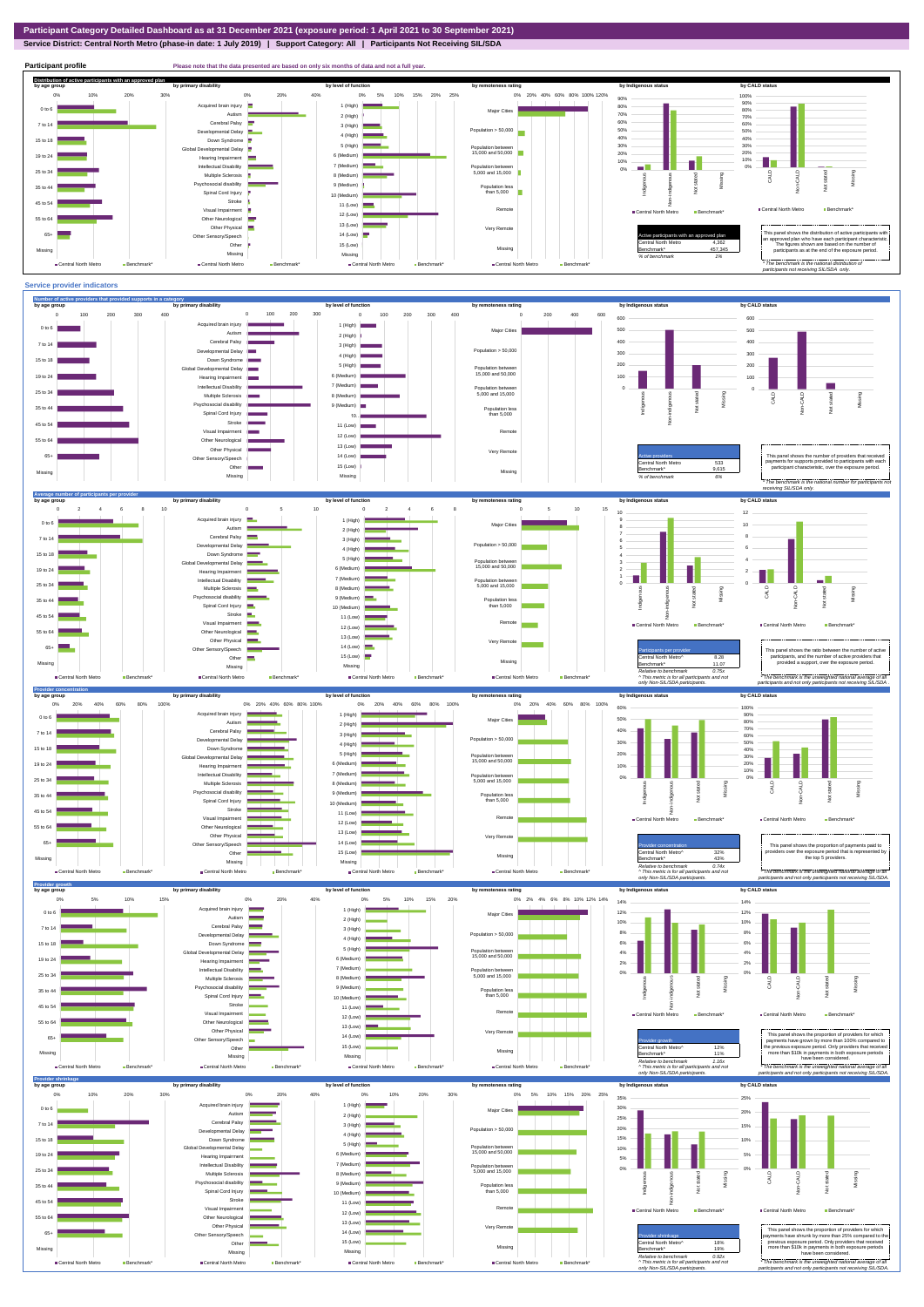**Service District: Central North Metro (phase-in date: 1 July 2019) | Support Category: All | Participants Not Receiving SIL/SDA**



**Participant profile Please note that the data presented are based on only six months of data and not a full year. Distribution of active participants with an approved plan** by age group by primary disability by remoteness rating by hdigenous status by CALD status 0% 5% 10% 15% 20% 25% 0% 20% 40% 60% 80% 100% 120% 0% 10% 20% 30% 0% 20% 40% 90% 100% ed brain injury 90% 1 (High) 80% 0 to 6 Major Cities 80% ÷ Autism **I** 70% 2 (High) 70% 60% Cerebral Palsy 60% 7 to 14 3 (High) nental Delay Population > 50,000 50% m 4 (High) 40% 50% 40% 15 to 18 Down Syndrome 5 (High) 30% 30% al Developmental Delay Population between 15,000 and 50,000 20% 20% 6 (Medium) 19 to 24 Hearing Impairment  $\equiv$ 10% 10% n. 7 (Medium) П Intellectual Disability  $\sim$   $\sim$ 0% Population between 5,000 and 15,000 0% Missing 25 to 34 Multiple Sclerosis 8 (Medium) CALD Non-CALD anous Non-indigenous .<br>cial disability Indigenc Missing 9 (Medium) Population less than 5,000  $\overline{z}$ 35 to 44  $\overline{z}$ Spinal Cord Injury п 출 10 (Medium) Stroke 45 to 54 11 (Low) Ă Remote Central North Metro Benchmark Visual Impairment Central North Metro Benchmark 12 (Low) 55 to 64 Other Neurological 13 (Low) Other Physical Very Remote Active participants with an approved plan This panel shows the distribution of active participants with an approved plan who have each participant characteristic. 65+ Sensory/Speech 14 (Low) Other 15 (Low) Central North Metro 4,362 The figures shown are based on the number of participants as at the end of the exposure period. Missing Benchmark\* 457,345 Missing Missing Missing *% of benchmark 1%* Central North Metro **Benchmark**\* Central North Metro Benchmark Central North Metro Ben Central North Metro Benchmark *\* The benchmark is the national distribution of participants not receiving SIL/SDA only.*